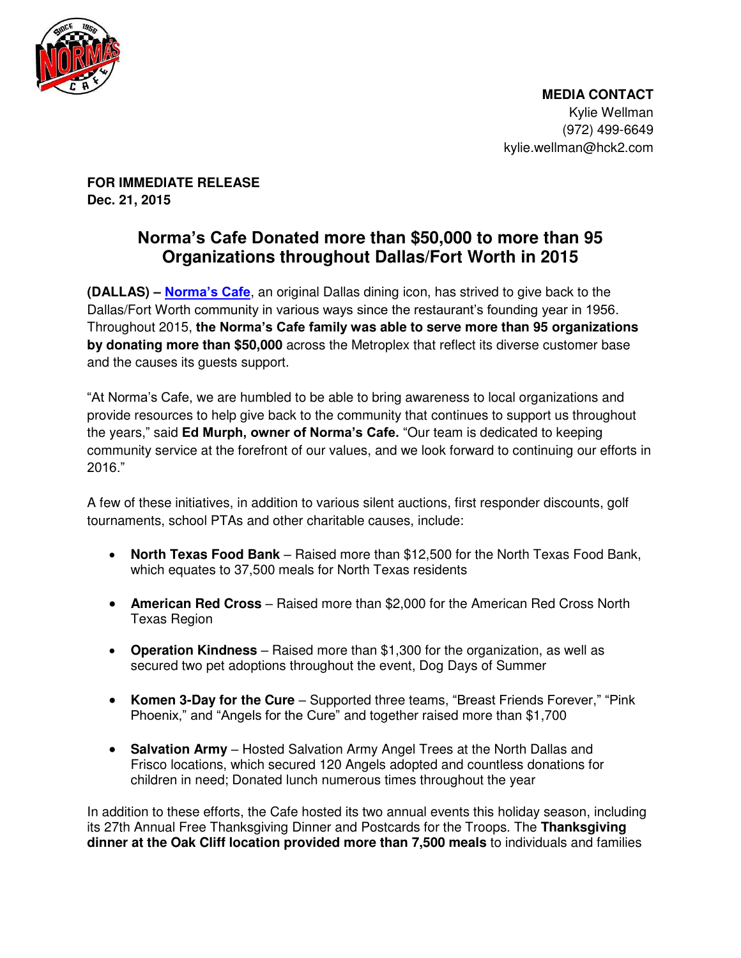

 **MEDIA CONTACT**  Kylie Wellman (972) 499-6649 kylie.wellman@hck2.com

**FOR IMMEDIATE RELEASE Dec. 21, 2015** 

## **Norma's Cafe Donated more than \$50,000 to more than 95 Organizations throughout Dallas/Fort Worth in 2015**

**(DALLAS) – [Norma's Cafe](http://www.normascafe.com/)**, an original Dallas dining icon, has strived to give back to the Dallas/Fort Worth community in various ways since the restaurant's founding year in 1956. Throughout 2015, **the Norma's Cafe family was able to serve more than 95 organizations by donating more than \$50,000** across the Metroplex that reflect its diverse customer base and the causes its guests support.

"At Norma's Cafe, we are humbled to be able to bring awareness to local organizations and provide resources to help give back to the community that continues to support us throughout the years," said **Ed Murph, owner of Norma's Cafe.** "Our team is dedicated to keeping community service at the forefront of our values, and we look forward to continuing our efforts in 2016."

A few of these initiatives, in addition to various silent auctions, first responder discounts, golf tournaments, school PTAs and other charitable causes, include:

- **North Texas Food Bank**  Raised more than \$12,500 for the North Texas Food Bank, which equates to 37,500 meals for North Texas residents
- **American Red Cross** Raised more than \$2,000 for the American Red Cross North Texas Region
- **Operation Kindness**  Raised more than \$1,300 for the organization, as well as secured two pet adoptions throughout the event, Dog Days of Summer
- **Komen 3-Day for the Cure** Supported three teams, "Breast Friends Forever," "Pink Phoenix," and "Angels for the Cure" and together raised more than \$1,700
- **Salvation Army** Hosted Salvation Army Angel Trees at the North Dallas and Frisco locations, which secured 120 Angels adopted and countless donations for children in need; Donated lunch numerous times throughout the year

In addition to these efforts, the Cafe hosted its two annual events this holiday season, including its 27th Annual Free Thanksgiving Dinner and Postcards for the Troops. The **Thanksgiving dinner at the Oak Cliff location provided more than 7,500 meals** to individuals and families